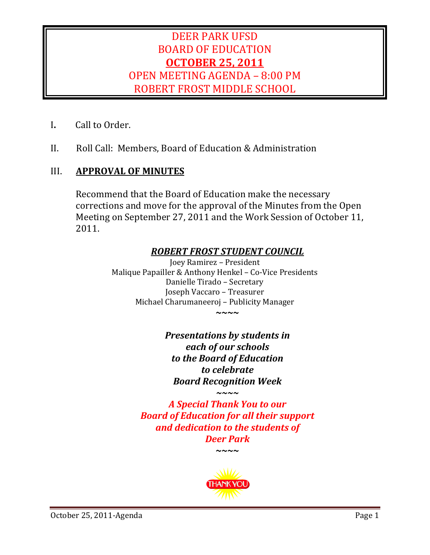# DEER PARK UFSD BOARD OF EDUCATION **OCTOBER 25, 2011** OPEN MEETING AGENDA - 8:00 PM ROBERT FROST MIDDLE SCHOOL

- **I.** Call to Order.
- II. Roll Call: Members, Board of Education & Administration

# III. **APPROVAL OF MINUTES**

Recommend that the Board of Education make the necessary corrections and move for the approval of the Minutes from the Open Meeting on September 27, 2011 and the Work Session of October 11, 2011. 

# *ROBERT FROST STUDENT COUNCIL*

Joey Ramirez - President Malique Papailler & Anthony Henkel - Co-Vice Presidents Danielle Tirado - Secretary Joseph Vaccaro - Treasurer Michael Charumaneeroj - Publicity Manager **~~~~**

> *Presentations by students in each of our schools to the Board of Education to celebrate Board Recognition Week ~~~~*

*A Special Thank You to our Board of Education for all their support and dedication to the students of Deer Park*

**~~~~**

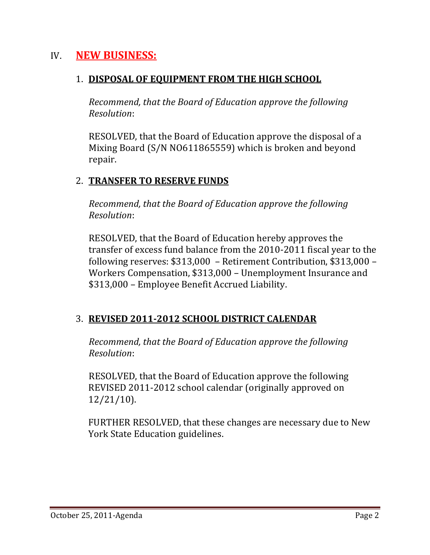# IV. **NEW BUSINESS:**

## 1. **DISPOSAL OF EQUIPMENT FROM THE HIGH SCHOOL**

*Recommend, that the Board of Education approve the following Resolution*: 

RESOLVED, that the Board of Education approve the disposal of a Mixing Board (S/N NO611865559) which is broken and beyond repair. 

# 2. **TRANSFER TO RESERVE FUNDS**

*Recommend, that the Board of Education approve the following Resolution*: 

RESOLVED, that the Board of Education hereby approves the transfer of excess fund balance from the 2010-2011 fiscal year to the following reserves:  $$313,000$  – Retirement Contribution,  $$313,000$  – Workers Compensation, \$313,000 - Unemployment Insurance and \$313,000 - Employee Benefit Accrued Liability.

# 3. **REVISED 2011‐2012 SCHOOL DISTRICT CALENDAR**

*Recommend, that the Board of Education approve the following Resolution*: 

RESOLVED, that the Board of Education approve the following REVISED 2011-2012 school calendar (originally approved on 12/21/10). 

FURTHER RESOLVED, that these changes are necessary due to New York State Education guidelines.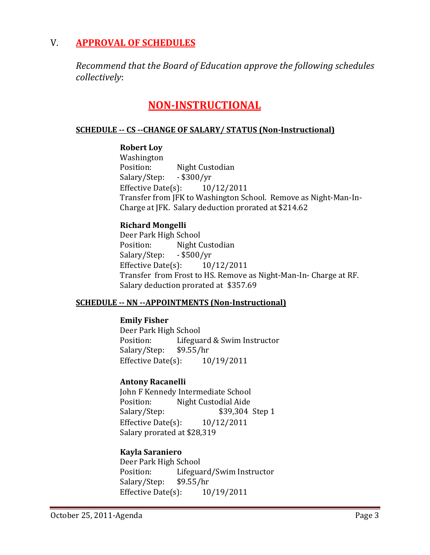# V. **APPROVAL OF SCHEDULES**

*Recommend that the Board of Education approve the following schedules collectively*: 

# **NON‐INSTRUCTIONAL**

### **SCHEDULE ‐‐ CS ‐‐CHANGE OF SALARY/ STATUS (Non‐Instructional)**

### **Robert Loy**

 Washington Position: Night Custodian Salary/Step: - \$300/yr Effective Date(s):  $10/12/2011$ Transfer from JFK to Washington School. Remove as Night-Man-In-Charge at JFK. Salary deduction prorated at \$214.62

### **Richard Mongelli**

Deer Park High School Position: Night Custodian Salary/Step: - \$500/yr Effective Date(s):  $10/12/2011$ Transfer from Frost to HS. Remove as Night-Man-In- Charge at RF. Salary deduction prorated at \$357.69

### **SCHEDULE ‐‐ NN ‐‐APPOINTMENTS (Non‐Instructional)**

### **Emily Fisher**

Deer Park High School Position: Lifeguard & Swim Instructor Salary/Step: \$9.55/hr Effective Date $(s)$ :  $10/19/2011$ 

### **Antony Racanelli**

John F Kennedy Intermediate School Position: Night Custodial Aide Salary/Step: \$39,304 Step 1 Effective Date(s):  $10/12/2011$ Salary prorated at \$28,319

### **Kayla Saraniero**

Deer Park High School Position: Lifeguard/Swim Instructor Salary/Step: \$9.55/hr Effective Date $(s)$ :  $10/19/2011$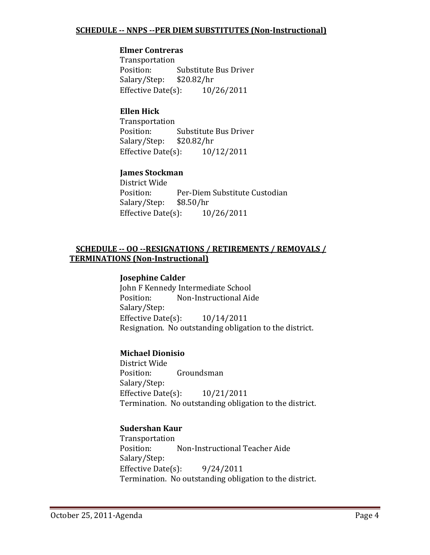### **Elmer Contreras**

 Transportation Position: Substitute Bus Driver Salary/Step: \$20.82/hr Effective Date $(s)$ :  $10/26/2011$ 

### **Ellen Hick**

 Transportation Position: Substitute Bus Driver Salary/Step: \$20.82/hr Effective Date $(s)$ :  $10/12/2011$ 

### **James Stockman**

District Wide Position: Per-Diem Substitute Custodian Salary/Step: \$8.50/hr Effective Date $(s)$ :  $10/26/2011$ 

### **SCHEDULE ‐‐ OO ‐‐RESIGNATIONS / RETIREMENTS / REMOVALS / TERMINATIONS (Non‐Instructional)**

### **Josephine Calder**

John F Kennedy Intermediate School Position: Non-Instructional Aide Salary/Step: Effective Date $(s)$ :  $10/14/2011$ Resignation. No outstanding obligation to the district.

### **Michael Dionisio**

District Wide Position: Groundsman Salary/Step: Effective Date $(s)$ :  $10/21/2011$ Termination. No outstanding obligation to the district.

### **Sudershan Kaur**

 Transportation Position: Non-Instructional Teacher Aide Salary/Step: Effective Date(s):  $9/24/2011$ Termination. No outstanding obligation to the district.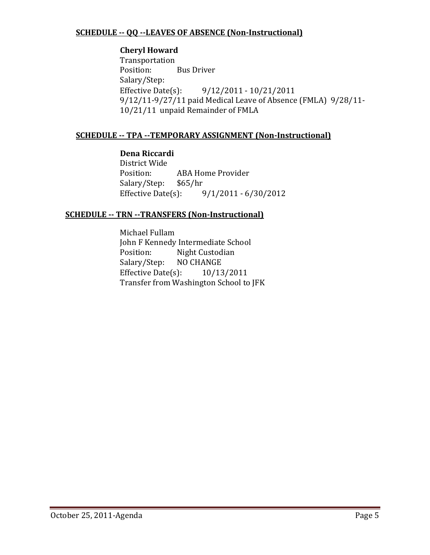### **SCHEDULE ‐‐ QQ ‐‐LEAVES OF ABSENCE (Non‐Instructional)**

### **Cheryl Howard**

 Transportation Position: Bus Driver Salary/Step: Effective Date(s):  $9/12/2011 - 10/21/2011$ 9/12/11-9/27/11 paid Medical Leave of Absence (FMLA) 9/28/11-10/21/11 unpaid Remainder of FMLA

### **SCHEDULE ‐‐ TPA ‐‐TEMPORARY ASSIGNMENT (Non‐Instructional)**

### **Dena Riccardi**

District Wide Position: ABA Home Provider Salary/Step: \$65/hr Effective Date(s):  $9/1/2011 - 6/30/2012$ 

### **SCHEDULE ‐‐ TRN ‐‐TRANSFERS (Non‐Instructional)**

Michael Fullam John F Kennedy Intermediate School Position: Night Custodian Salary/Step: NO CHANGE Effective Date(s):  $10/13/2011$ Transfer from Washington School to JFK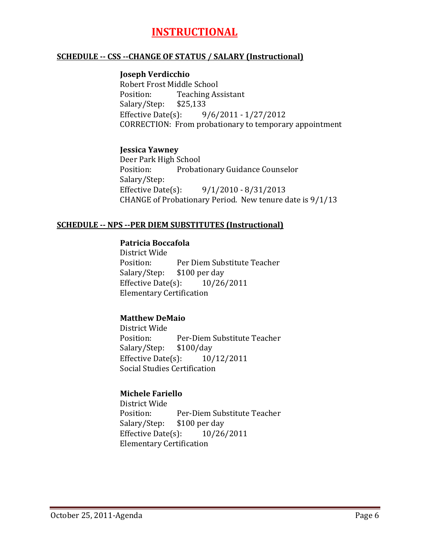# **INSTRUCTIONAL**

#### **SCHEDULE ‐‐ CSS ‐‐CHANGE OF STATUS / SALARY (Instructional)**

#### **Joseph Verdicchio**

Robert Frost Middle School Position: Teaching Assistant Salary/Step: \$25,133 Effective Date(s):  $9/6/2011 - 1/27/2012$ CORRECTION: From probationary to temporary appointment

### **Jessica Yawney**

Deer Park High School Position: Probationary Guidance Counselor Salary/Step: Effective Date(s):  $9/1/2010 - 8/31/2013$ CHANGE of Probationary Period. New tenure date is  $9/1/13$ 

#### **SCHEDULE ‐‐ NPS ‐‐PER DIEM SUBSTITUTES (Instructional)**

### **Patricia Boccafola**

District Wide Position: Per Diem Substitute Teacher Salary/Step: \$100 per day Effective Date(s):  $10/26/2011$  Elementary Certification

### **Matthew DeMaio**

District Wide Position: Per-Diem Substitute Teacher Salary/Step: \$100/day Effective Date $(s)$ :  $10/12/2011$  Social Studies Certification

### **Michele Fariello**

District Wide Position: Per-Diem Substitute Teacher Salary/Step: \$100 per day Effective Date(s):  $10/26/2011$  Elementary Certification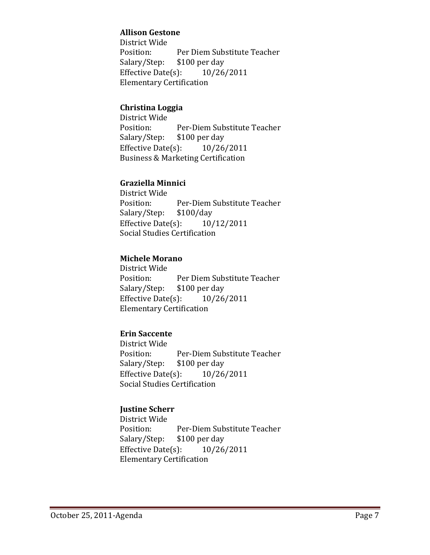### **Allison Gestone**

District Wide Position: Per Diem Substitute Teacher Salary/Step: \$100 per day Effective Date(s):  $10/26/2011$  Elementary Certification

### **Christina Loggia**

District Wide Position: Per-Diem Substitute Teacher Salary/Step: \$100 per day Effective Date $(s)$ :  $10/26/2011$ Business & Marketing Certification

### **Graziella Minnici**

District Wide Position: Per-Diem Substitute Teacher Salary/Step: \$100/day Effective Date $(s)$ :  $10/12/2011$ Social Studies Certification

### **Michele Morano**

District Wide Position: Per Diem Substitute Teacher Salary/Step: \$100 per day Effective Date(s):  $10/26/2011$  Elementary Certification

### **Erin Saccente**

District Wide Position: Per-Diem Substitute Teacher Salary/Step: \$100 per day Effective Date(s):  $10/26/2011$ Social Studies Certification

### **Justine Scherr**

District Wide Position: Per-Diem Substitute Teacher Salary/Step: \$100 per day Effective Date $(s)$ :  $10/26/2011$  Elementary Certification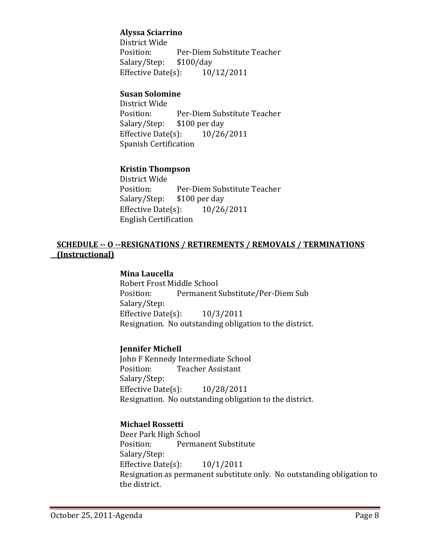### **Alyssa Sciarrino**

District Wide Position: Per-Diem Substitute Teacher Salary/Step: \$100/day Effective Date(s):  $10/12/2011$ 

### **Susan Solomine**

District Wide Position: Per-Diem Substitute Teacher Salary/Step: \$100 per day Effective Date $(s)$ :  $10/26/2011$  Spanish Certification

### **Kristin Thompson**

District Wide Position: Per-Diem Substitute Teacher Salary/Step: \$100 per day Effective Date(s):  $10/26/2011$  English Certification

#### **SCHEDULE ‐‐ O ‐‐RESIGNATIONS / RETIREMENTS / REMOVALS / TERMINATIONS (Instructional)**

#### **Mina Laucella**

Robert Frost Middle School Position: Permanent Substitute/Per-Diem Sub Salary/Step: Effective Date(s):  $10/3/2011$ Resignation. No outstanding obligation to the district.

#### **Jennifer Michell**

John F Kennedy Intermediate School Position: Teacher Assistant Salary/Step: Effective Date(s):  $10/28/2011$ Resignation. No outstanding obligation to the district.

### **Michael Rossetti**

Deer Park High School Position: Permanent Substitute Salary/Step: Effective Date $(s)$ :  $10/1/2011$ Resignation as permanent substitute only. No outstanding obligation to the district.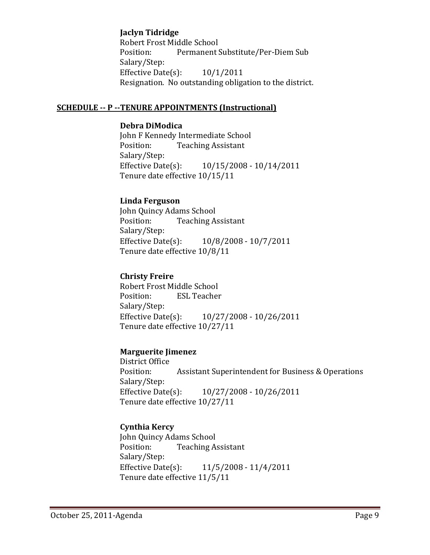### **Jaclyn Tidridge**

Robert Frost Middle School Position: Permanent Substitute/Per-Diem Sub Salary/Step: Effective Date(s):  $10/1/2011$ Resignation. No outstanding obligation to the district.

#### **SCHEDULE ‐‐ P ‐‐TENURE APPOINTMENTS (Instructional)**

### **Debra DiModica**

John F Kennedy Intermediate School Position: Teaching Assistant Salary/Step: Effective Date(s):  $10/15/2008 - 10/14/2011$ Tenure date effective  $10/15/11$ 

### **Linda Ferguson**

John Quincy Adams School Position: Teaching Assistant Salary/Step: Effective Date(s):  $10/8/2008 - 10/7/2011$ Tenure date effective  $10/8/11$ 

#### **Christy Freire**

Robert Frost Middle School Position: ESL Teacher Salary/Step: Effective Date(s):  $10/27/2008 - 10/26/2011$ Tenure date effective  $10/27/11$ 

#### **Marguerite Jimenez**

District Office Position: Assistant Superintendent for Business & Operations Salary/Step: Effective Date(s):  $10/27/2008 - 10/26/2011$ Tenure date effective  $10/27/11$ 

### **Cynthia Kercy**

John Quincy Adams School Position: Teaching Assistant Salary/Step: Effective Date(s):  $11/5/2008 - 11/4/2011$ Tenure date effective 11/5/11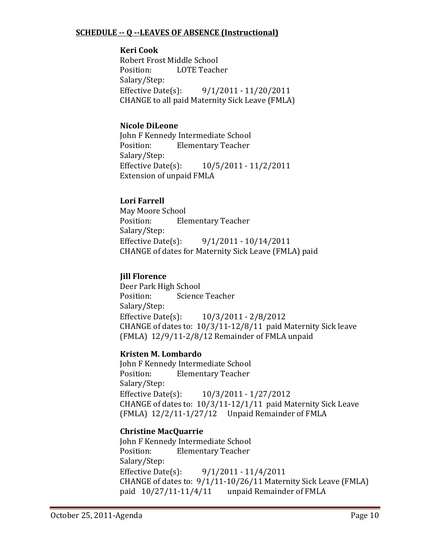### **SCHEDULE ‐‐ Q ‐‐LEAVES OF ABSENCE (Instructional)**

### **Keri Cook**

Robert Frost Middle School Position: LOTE Teacher Salary/Step: Effective Date(s):  $9/1/2011 - 11/20/2011$ CHANGE to all paid Maternity Sick Leave (FMLA)

### **Nicole DiLeone**

John F Kennedy Intermediate School Position: Elementary Teacher Salary/Step: Effective Date(s):  $10/5/2011 - 11/2/2011$ Extension of unpaid FMLA

### **Lori Farrell**

May Moore School Position: Elementary Teacher Salary/Step: Effective Date(s):  $9/1/2011 - 10/14/2011$ CHANGE of dates for Maternity Sick Leave (FMLA) paid

### **Jill Florence**

Deer Park High School Position: Science Teacher Salary/Step: Effective Date(s):  $10/3/2011 - 2/8/2012$ CHANGE of dates to:  $10/3/11 - 12/8/11$  paid Maternity Sick leave  $(FMLA)$  12/9/11-2/8/12 Remainder of FMLA unpaid

### **Kristen M. Lombardo**

John F Kennedy Intermediate School Position: Elementary Teacher Salary/Step: Effective Date(s):  $10/3/2011 - 1/27/2012$ CHANGE of dates to:  $10/3/11-12/1/11$  paid Maternity Sick Leave (FMLA)  $12/2/11-1/27/12$  Unpaid Remainder of FMLA

### **Christine MacQuarrie**

John F Kennedy Intermediate School Position: Elementary Teacher Salary/Step: Effective Date(s):  $9/1/2011 - 11/4/2011$ CHANGE of dates to:  $9/1/11$ -10/26/11 Maternity Sick Leave (FMLA) paid  $10/27/11-11/4/11$  unpaid Remainder of FMLA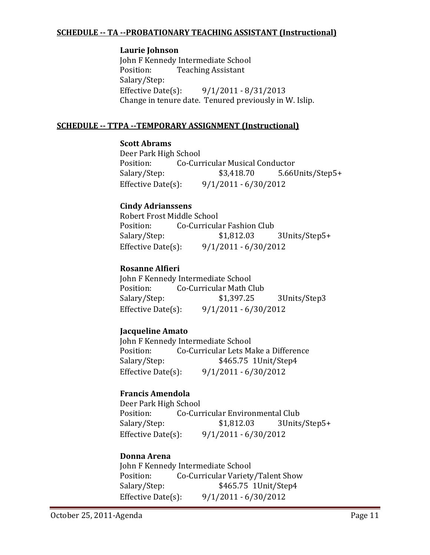### **SCHEDULE ‐‐ TA ‐‐PROBATIONARY TEACHING ASSISTANT (Instructional)**

### **Laurie Johnson**

John F Kennedy Intermediate School Position: Teaching Assistant Salary/Step: Effective Date(s):  $9/1/2011 - 8/31/2013$ Change in tenure date. Tenured previously in W. Islip.

### **SCHEDULE ‐‐ TTPA ‐‐TEMPORARY ASSIGNMENT (Instructional)**

### **Scott Abrams**

Deer Park High School Position: Co-Curricular Musical Conductor Salary/Step: \$3,418.70 5.66Units/Step5+ Effective Date(s):  $9/1/2011 - 6/30/2012$ 

### **Cindy Adrianssens**

Robert Frost Middle School Position: Co-Curricular Fashion Club Salary/Step:  $$1,812.03$  3Units/Step5+ Effective Date(s):  $9/1/2011 - 6/30/2012$ 

### **Rosanne Alfieri**

John F Kennedy Intermediate School Position: Co-Curricular Math Club Salary/Step: \$1,397.25 3Units/Step3 Effective Date(s):  $9/1/2011 - 6/30/2012$ 

### **Jacqueline Amato**

John F Kennedy Intermediate School Position: Co-Curricular Lets Make a Difference Salary/Step: \$465.75 1Unit/Step4 Effective Date(s):  $9/1/2011 - 6/30/2012$ 

### **Francis Amendola**

Deer Park High School Position: Co-Curricular Environmental Club Salary/Step: \$1,812.03 3Units/Step5+ Effective Date(s):  $9/1/2011 - 6/30/2012$ 

### **Donna Arena**

John F Kennedy Intermediate School Position: Co-Curricular Variety/Talent Show Salary/Step: \$465.75 1Unit/Step4 Effective Date(s):  $9/1/2011 - 6/30/2012$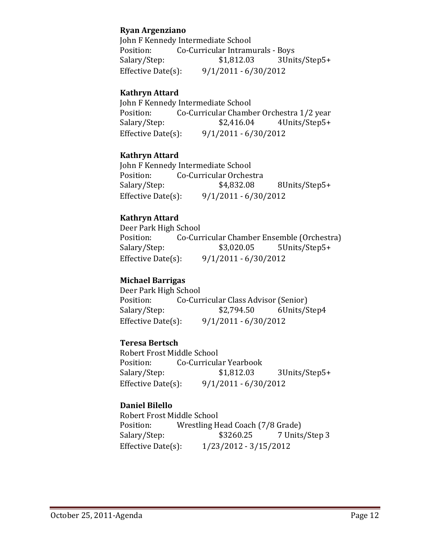### **Ryan Argenziano**

John F Kennedy Intermediate School Position: Co-Curricular Intramurals - Boys Salary/Step:  $$1,812.03$  3Units/Step5+ Effective Date(s):  $9/1/2011 - 6/30/2012$ 

### **Kathryn Attard**

John F Kennedy Intermediate School Position: Co-Curricular Chamber Orchestra 1/2 year Salary/Step:  $$2,416.04$  4Units/Step5+ Effective Date(s):  $9/1/2011 - 6/30/2012$ 

### **Kathryn Attard**

John F Kennedy Intermediate School Position: Co-Curricular Orchestra Salary/Step:  $$4,832.08$  8Units/Step5+ Effective Date(s):  $9/1/2011 - 6/30/2012$ 

### **Kathryn Attard**

Deer Park High School Position: Co-Curricular Chamber Ensemble (Orchestra) Salary/Step: \$3,020.05 5Units/Step5+ Effective Date(s):  $9/1/2011 - 6/30/2012$ 

### **Michael Barrigas**

Deer Park High School Position: Co-Curricular Class Advisor (Senior) Salary/Step:  $$2,794.50$  6Units/Step4 Effective Date(s):  $9/1/2011 - 6/30/2012$ 

### **Teresa Bertsch**

Robert Frost Middle School Position: Co-Curricular Yearbook Salary/Step: \$1,812.03 3Units/Step5+ Effective Date(s):  $9/1/2011 - 6/30/2012$ 

### **Daniel Bilello**

Robert Frost Middle School Position: Wrestling Head Coach (7/8 Grade) Salary/Step:  $$3260.25$  7 Units/Step 3 Effective Date(s):  $1/23/2012 - 3/15/2012$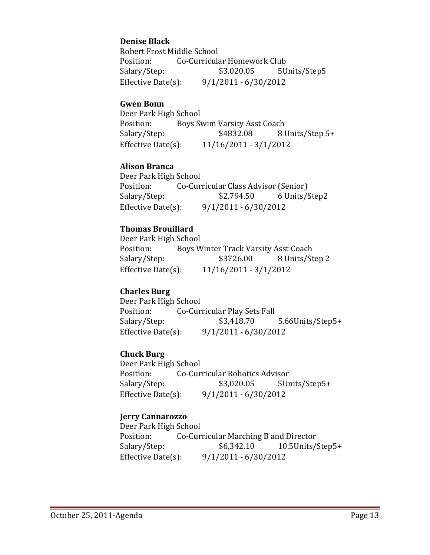### **Denise Black**

Robert Frost Middle School Position: Co-Curricular Homework Club Salary/Step: \$3,020.05 5Units/Step5 Effective Date(s):  $9/1/2011 - 6/30/2012$ 

### **Gwen Bonn**

Deer Park High School Position: Boys Swim Varsity Asst Coach Salary/Step:  $$4832.08$  8 Units/Step 5+ Effective Date(s):  $11/16/2011 - 3/1/2012$ 

### **Alison Branca**

Deer Park High School Position: Co-Curricular Class Advisor (Senior) Salary/Step: \$2,794.50 6 Units/Step2 Effective Date(s):  $9/1/2011 - 6/30/2012$ 

### **Thomas Brouillard**

Deer Park High School Position: Boys Winter Track Varsity Asst Coach Salary/Step:  $$3726.00$  8 Units/Step 2 Effective Date(s):  $11/16/2011 - 3/1/2012$ 

### **Charles Burg**

Deer Park High School Position: Co-Curricular Play Sets Fall Salary/Step: \$3,418.70 5.66Units/Step5+ Effective Date(s):  $9/1/2011 - 6/30/2012$ 

### **Chuck Burg**

Deer Park High School Position: Co-Curricular Robotics Advisor Salary/Step:  $$3,020.05$  5Units/Step5+ Effective Date(s):  $9/1/2011 - 6/30/2012$ 

### **Jerry Cannarozzo**

Deer Park High School Position: Co-Curricular Marching B and Director Salary/Step: \$6,342.10 10.5Units/Step5+ Effective Date(s):  $9/1/2011 - 6/30/2012$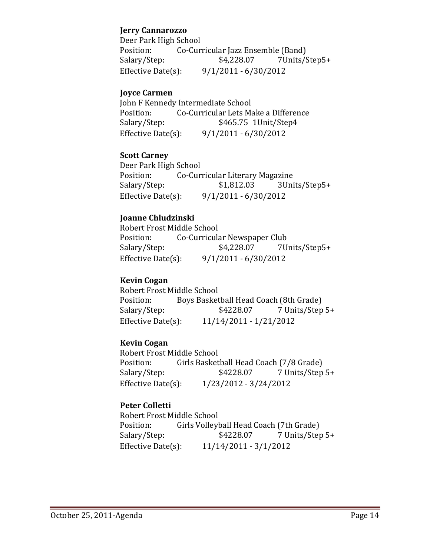### **Jerry Cannarozzo**

Deer Park High School Position: Co-Curricular Jazz Ensemble (Band) Salary/Step:  $$4,228.07$  7Units/Step5+ Effective Date(s):  $9/1/2011 - 6/30/2012$ 

### **Joyce Carmen**

John F Kennedy Intermediate School Position: Co-Curricular Lets Make a Difference Salary/Step: \$465.75 1Unit/Step4 Effective Date(s):  $9/1/2011 - 6/30/2012$ 

### **Scott Carney**

Deer Park High School Position: Co-Curricular Literary Magazine Salary/Step: \$1,812.03 3Units/Step5+ Effective Date(s):  $9/1/2011 - 6/30/2012$ 

### **Joanne Chludzinski**

Robert Frost Middle School Position: Co-Curricular Newspaper Club Salary/Step:  $$4,228.07$  7Units/Step5+ Effective Date(s):  $9/1/2011 - 6/30/2012$ 

### **Kevin Cogan**

Robert Frost Middle School Position: Boys Basketball Head Coach (8th Grade) Salary/Step:  $$4228.07$  7 Units/Step 5+ Effective Date(s):  $11/14/2011 - 1/21/2012$ 

### **Kevin Cogan**

Robert Frost Middle School Position: Girls Basketball Head Coach (7/8 Grade) Salary/Step: \$4228.07 7 Units/Step 5+ Effective Date(s):  $1/23/2012 - 3/24/2012$ 

### **Peter Colletti**

Robert Frost Middle School Position: Girls Volleyball Head Coach (7th Grade) Salary/Step: \$4228.07 7 Units/Step 5+ Effective Date(s):  $11/14/2011 - 3/1/2012$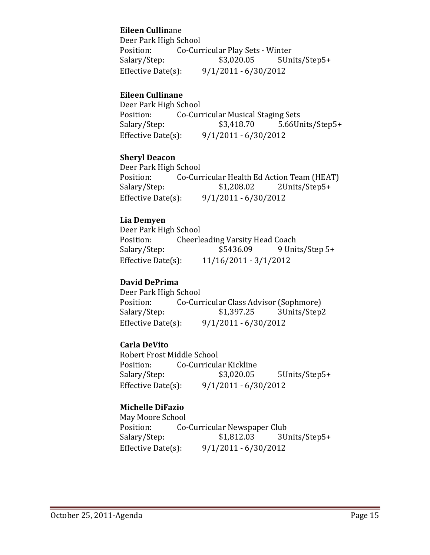### **Eileen Cullin**ane

Deer Park High School Position: Co-Curricular Play Sets - Winter Salary/Step:  $$3,020.05$  5Units/Step5+ Effective Date(s):  $9/1/2011 - 6/30/2012$ 

### **Eileen Cullinane**

Deer Park High School Position: Co-Curricular Musical Staging Sets Salary/Step: \$3,418.70 5.66Units/Step5+ Effective Date(s):  $9/1/2011 - 6/30/2012$ 

### **Sheryl Deacon**

Deer Park High School Position: Co-Curricular Health Ed Action Team (HEAT) Salary/Step: \$1,208.02 2Units/Step5+ Effective Date(s):  $9/1/2011 - 6/30/2012$ 

### **Lia Demyen**

Deer Park High School Position: Cheerleading Varsity Head Coach Salary/Step: \$5436.09 9 Units/Step 5+ Effective Date(s):  $11/16/2011 - 3/1/2012$ 

### **David DePrima**

Deer Park High School Position: Co-Curricular Class Advisor (Sophmore) Salary/Step: \$1,397.25 3Units/Step2 Effective Date(s):  $9/1/2011 - 6/30/2012$ 

### **Carla DeVito**

Robert Frost Middle School Position: Co-Curricular Kickline Salary/Step: \$3,020.05 5Units/Step5+ Effective Date(s):  $9/1/2011 - 6/30/2012$ 

### **Michelle DiFazio**

May Moore School Position: Co-Curricular Newspaper Club Salary/Step: \$1,812.03 3Units/Step5+ Effective Date(s):  $9/1/2011 - 6/30/2012$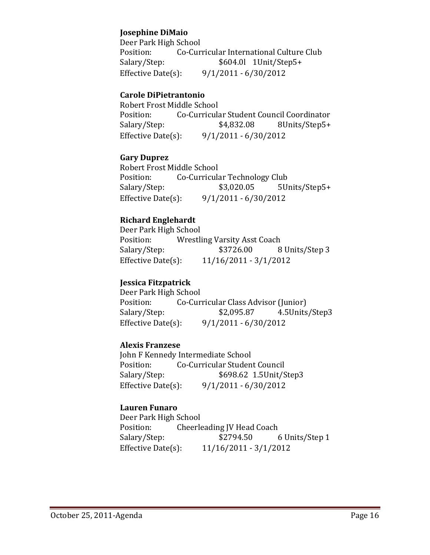### **Josephine DiMaio**

Deer Park High School Position: Co-Curricular International Culture Club Salary/Step:  $$604.0$ l 1Unit/Step5+ Effective Date(s):  $9/1/2011 - 6/30/2012$ 

### **Carole DiPietrantonio**

Robert Frost Middle School Position: Co-Curricular Student Council Coordinator Salary/Step:  $$4,832.08$  8Units/Step5+ Effective Date(s):  $9/1/2011 - 6/30/2012$ 

#### **Gary Duprez**

Robert Frost Middle School Position: Co-Curricular Technology Club Salary/Step: \$3,020.05 5Units/Step5+ Effective Date(s):  $9/1/2011 - 6/30/2012$ 

### **Richard Englehardt**

Deer Park High School Position: Wrestling Varsity Asst Coach Salary/Step:  $$3726.00$  8 Units/Step 3 Effective Date(s):  $11/16/2011 - 3/1/2012$ 

### **Jessica Fitzpatrick**

Deer Park High School Position: Co-Curricular Class Advisor (Junior) Salary/Step: \$2,095.87 4.5Units/Step3 Effective Date(s):  $9/1/2011 - 6/30/2012$ 

### **Alexis Franzese**

John F Kennedy Intermediate School Position: Co-Curricular Student Council Salary/Step: \$698.62 1.5Unit/Step3 Effective Date(s):  $9/1/2011 - 6/30/2012$ 

#### **Lauren Funaro**

Deer Park High School Position: Cheerleading JV Head Coach Salary/Step:  $$2794.50$  6 Units/Step 1 Effective Date(s):  $11/16/2011 - 3/1/2012$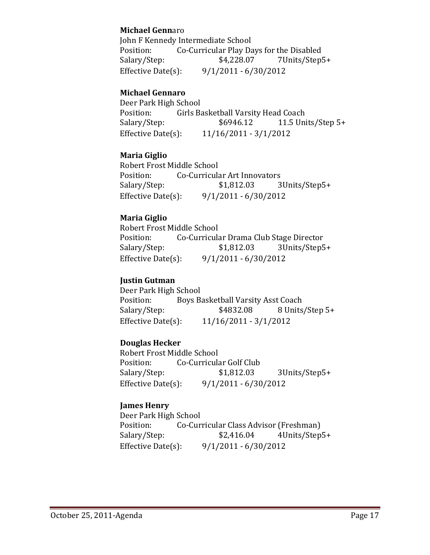### **Michael Genn**aro

John F Kennedy Intermediate School Position: Co-Curricular Play Days for the Disabled Salary/Step:  $$4,228.07$  7Units/Step5+ Effective Date(s):  $9/1/2011 - 6/30/2012$ 

### **Michael Gennaro**

Deer Park High School Position: Girls Basketball Varsity Head Coach Salary/Step:  $$6946.12$  11.5 Units/Step 5+ Effective Date(s):  $11/16/2011 - 3/1/2012$ 

### **Maria Giglio**

Robert Frost Middle School Position: Co-Curricular Art Innovators Salary/Step: \$1,812.03 3Units/Step5+ Effective Date(s):  $9/1/2011 - 6/30/2012$ 

### **Maria Giglio**

Robert Frost Middle School Position: Co-Curricular Drama Club Stage Director Salary/Step: \$1,812.03 3Units/Step5+ Effective Date(s):  $9/1/2011 - 6/30/2012$ 

### **Justin Gutman**

Deer Park High School Position: Boys Basketball Varsity Asst Coach Salary/Step:  $$4832.08$  8 Units/Step 5+ Effective Date(s):  $11/16/2011 - 3/1/2012$ 

### **Douglas Hecker**

Robert Frost Middle School Position: Co-Curricular Golf Club Salary/Step: \$1,812.03 3Units/Step5+ Effective Date(s):  $9/1/2011 - 6/30/2012$ 

### **James Henry**

Deer Park High School Position: Co-Curricular Class Advisor (Freshman) Salary/Step:  $$2,416.04$  4Units/Step5+ Effective Date(s):  $9/1/2011 - 6/30/2012$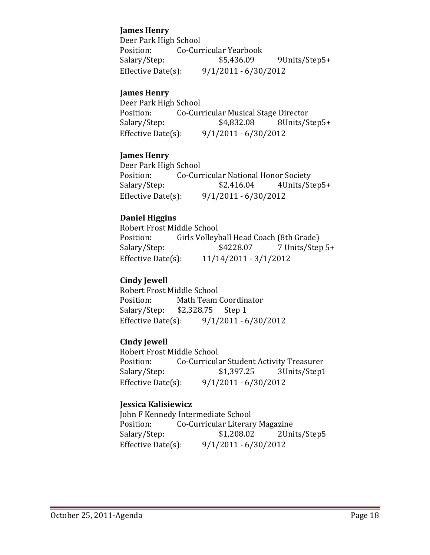### **James Henry**

Deer Park High School Position: Co-Curricular Yearbook Salary/Step:  $$5,436.09$  9Units/Step5+ Effective Date(s):  $9/1/2011 - 6/30/2012$ 

### **James Henry**

Deer Park High School Position: Co-Curricular Musical Stage Director Salary/Step:  $$4,832.08$  8Units/Step5+ Effective Date(s):  $9/1/2011 - 6/30/2012$ 

### **James Henry**

Deer Park High School Position: Co-Curricular National Honor Society Salary/Step:  $$2,416.04$  4Units/Step5+ Effective Date(s):  $9/1/2011 - 6/30/2012$ 

### **Daniel Higgins**

Robert Frost Middle School Position: Girls Volleyball Head Coach (8th Grade) Salary/Step:  $$4228.07$  7 Units/Step 5+ Effective Date(s):  $11/14/2011 - 3/1/2012$ 

### **Cindy Jewell**

Robert Frost Middle School Position: Math Team Coordinator Salary/Step:  $$2,328.75$  Step 1 Effective Date(s):  $9/1/2011 - 6/30/2012$ 

### **Cindy Jewell**

Robert Frost Middle School Position: Co-Curricular Student Activity Treasurer Salary/Step: \$1,397.25 3Units/Step1 Effective Date(s):  $9/1/2011 - 6/30/2012$ 

### **Jessica Kalisiewicz**

John F Kennedy Intermediate School Position: Co-Curricular Literary Magazine Salary/Step: \$1,208.02 2Units/Step5 Effective Date(s):  $9/1/2011 - 6/30/2012$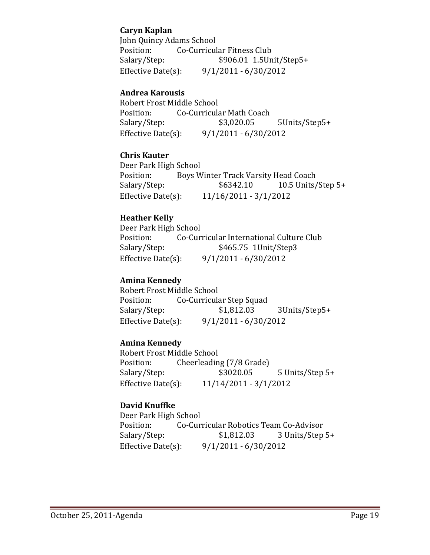### **Caryn Kaplan**

John Quincy Adams School Position: Co-Curricular Fitness Club Salary/Step:  $$906.01 1.5Unit/Step5+$ Effective Date(s):  $9/1/2011 - 6/30/2012$ 

### **Andrea Karousis**

Robert Frost Middle School Position: Co-Curricular Math Coach Salary/Step: \$3,020.05 5Units/Step5+ Effective Date(s):  $9/1/2011 - 6/30/2012$ 

### **Chris Kauter**

Deer Park High School Position: Boys Winter Track Varsity Head Coach Salary/Step:  $$6342.10$  10.5 Units/Step 5+ Effective Date(s):  $11/16/2011 - 3/1/2012$ 

### **Heather Kelly**

Deer Park High School Position: Co-Curricular International Culture Club Salary/Step: \$465.75 1Unit/Step3 Effective Date(s):  $9/1/2011 - 6/30/2012$ 

### **Amina Kennedy**

Robert Frost Middle School Position: Co-Curricular Step Squad Salary/Step: \$1,812.03 3Units/Step5+ Effective Date(s):  $9/1/2011 - 6/30/2012$ 

### **Amina Kennedy**

Robert Frost Middle School Position: Cheerleading (7/8 Grade) Salary/Step: \$3020.05 5 Units/Step 5+ Effective Date(s):  $11/14/2011 - 3/1/2012$ 

### **David Knuffke**

Deer Park High School Position: Co-Curricular Robotics Team Co-Advisor Salary/Step: \$1,812.03 3 Units/Step 5+ Effective Date(s):  $9/1/2011 - 6/30/2012$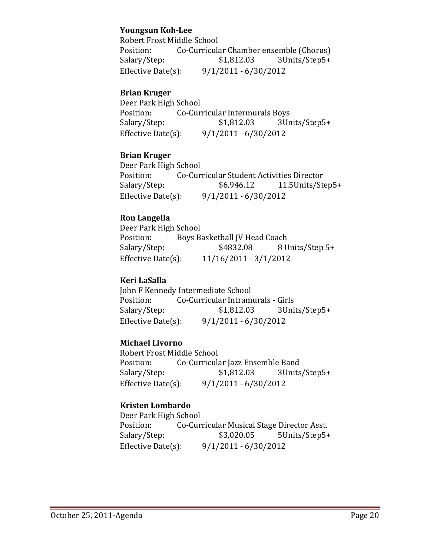### **Youngsun Koh‐Lee**

Robert Frost Middle School Position: Co-Curricular Chamber ensemble (Chorus) Salary/Step:  $$1,812.03$  3Units/Step5+ Effective Date(s):  $9/1/2011 - 6/30/2012$ 

### **Brian Kruger**

Deer Park High School Position: Co-Curricular Intermurals Boys Salary/Step: \$1,812.03 3Units/Step5+ Effective Date(s):  $9/1/2011 - 6/30/2012$ 

### **Brian Kruger**

Deer Park High School Position: Co-Curricular Student Activities Director Salary/Step:  $$6,946.12$  11.5Units/Step5+ Effective Date(s):  $9/1/2011 - 6/30/2012$ 

### **Ron Langella**

Deer Park High School Position: Boys Basketball JV Head Coach Salary/Step:  $$4832.08$  8 Units/Step 5+ Effective Date(s):  $11/16/2011 - 3/1/2012$ 

### **Keri LaSalla**

John F Kennedy Intermediate School Position: Co-Curricular Intramurals - Girls Salary/Step: \$1,812.03 3Units/Step5+ Effective Date(s):  $9/1/2011 - 6/30/2012$ 

### **Michael Livorno**

Robert Frost Middle School Position: Co-Curricular Jazz Ensemble Band Salary/Step: \$1,812.03 3Units/Step5+ Effective Date(s):  $9/1/2011 - 6/30/2012$ 

### **Kristen Lombardo**

Deer Park High School Position: Co-Curricular Musical Stage Director Asst. Salary/Step: \$3,020.05 5Units/Step5+ Effective Date(s):  $9/1/2011 - 6/30/2012$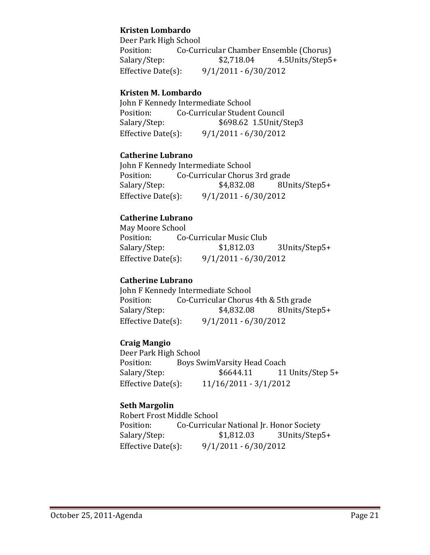### **Kristen Lombardo**

Deer Park High School Position: Co-Curricular Chamber Ensemble (Chorus) Salary/Step: \$2,718.04 4.5Units/Step5+ Effective Date(s):  $9/1/2011 - 6/30/2012$ 

### **Kristen M. Lombardo**

John F Kennedy Intermediate School Position: Co-Curricular Student Council Salary/Step: \$698.62 1.5Unit/Step3 Effective Date(s):  $9/1/2011 - 6/30/2012$ 

#### **Catherine Lubrano**

John F Kennedy Intermediate School Position: Co-Curricular Chorus 3rd grade Salary/Step:  $$4,832.08$  8Units/Step5+ Effective Date(s):  $9/1/2011 - 6/30/2012$ 

### **Catherine Lubrano**

May Moore School Position: Co-Curricular Music Club Salary/Step:  $$1,812.03$  3Units/Step5+ Effective Date(s):  $9/1/2011 - 6/30/2012$ 

### **Catherine Lubrano**

John F Kennedy Intermediate School Position: Co-Curricular Chorus 4th & 5th grade Salary/Step:  $$4,832.08$  8Units/Step5+ Effective Date(s):  $9/1/2011 - 6/30/2012$ 

### **Craig Mangio**

Deer Park High School Position: Boys SwimVarsity Head Coach Salary/Step:  $$6644.11$  11 Units/Step 5+ Effective Date(s):  $11/16/2011 - 3/1/2012$ 

### **Seth Margolin**

Robert Frost Middle School Position: Co-Curricular National Jr. Honor Society Salary/Step: \$1,812.03 3Units/Step5+ Effective Date(s):  $9/1/2011 - 6/30/2012$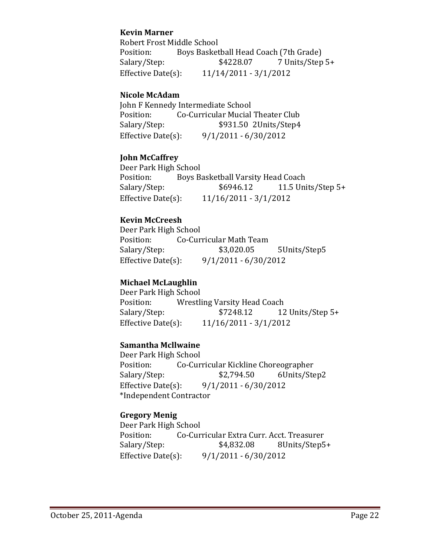### **Kevin Marner**

Robert Frost Middle School Position: Boys Basketball Head Coach (7th Grade) Salary/Step:  $$4228.07$  7 Units/Step 5+ Effective Date(s):  $11/14/2011 - 3/1/2012$ 

### **Nicole McAdam**

John F Kennedy Intermediate School Position: Co-Curricular Mucial Theater Club Salary/Step: \$931.50 2Units/Step4 Effective Date(s):  $9/1/2011 - 6/30/2012$ 

#### **John McCaffrey**

Deer Park High School Position: Boys Basketball Varsity Head Coach Salary/Step:  $$6946.12$  11.5 Units/Step 5+ Effective Date(s):  $11/16/2011 - 3/1/2012$ 

### **Kevin McCreesh**

Deer Park High School Position: Co-Curricular Math Team Salary/Step: \$3,020.05 5Units/Step5 Effective Date(s):  $9/1/2011 - 6/30/2012$ 

### **Michael McLaughlin**

Deer Park High School Position: Wrestling Varsity Head Coach Salary/Step:  $$7248.12$  12 Units/Step 5+ Effective Date(s):  $11/16/2011 - 3/1/2012$ 

### **Samantha Mcllwaine**

Deer Park High School Position: Co-Curricular Kickline Choreographer Salary/Step:  $$2,794.50$  6Units/Step2 Effective Date(s):  $9/1/2011 - 6/30/2012$  \*Independent Contractor 

### **Gregory Menig**

Deer Park High School Position: Co-Curricular Extra Curr. Acct. Treasurer Salary/Step:  $$4,832.08$  8Units/Step5+ Effective Date(s):  $9/1/2011 - 6/30/2012$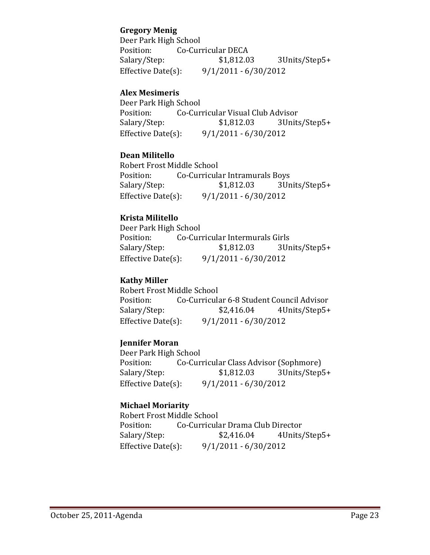### **Gregory Menig**

Deer Park High School Position: Co-Curricular DECA Salary/Step:  $$1,812.03$  3Units/Step5+ Effective Date(s):  $9/1/2011 - 6/30/2012$ 

### **Alex Mesimeris**

Deer Park High School Position: Co-Curricular Visual Club Advisor Salary/Step: \$1,812.03 3Units/Step5+ Effective Date(s):  $9/1/2011 - 6/30/2012$ 

### **Dean Militello**

Robert Frost Middle School Position: Co-Curricular Intramurals Boys Salary/Step: \$1,812.03 3Units/Step5+ Effective Date(s):  $9/1/2011 - 6/30/2012$ 

### **Krista Militello**

Deer Park High School Position: Co-Curricular Intermurals Girls Salary/Step:  $$1,812.03$  3Units/Step5+ Effective Date(s):  $9/1/2011 - 6/30/2012$ 

### **Kathy Miller**

Robert Frost Middle School Position: Co-Curricular 6-8 Student Council Advisor Salary/Step:  $$2,416.04$  4Units/Step5+ Effective Date(s):  $9/1/2011 - 6/30/2012$ 

### **Jennifer Moran**

Deer Park High School Position: Co-Curricular Class Advisor (Sophmore) Salary/Step: \$1,812.03 3Units/Step5+ Effective Date(s):  $9/1/2011 - 6/30/2012$ 

### **Michael Moriarity**

Robert Frost Middle School Position: Co-Curricular Drama Club Director Salary/Step:  $$2,416.04$  4Units/Step5+ Effective Date(s):  $9/1/2011 - 6/30/2012$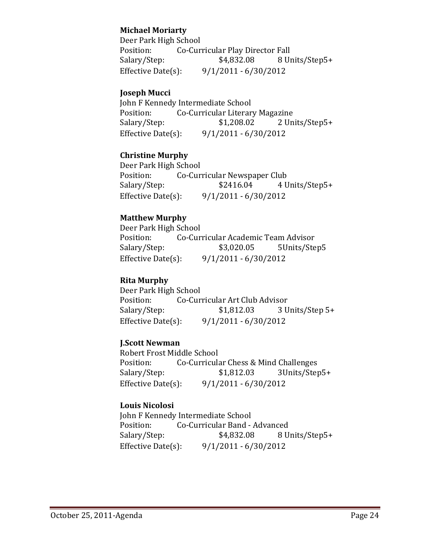### **Michael Moriarty**

Deer Park High School Position: Co-Curricular Play Director Fall Salary/Step:  $$4,832.08$  8 Units/Step5+ Effective Date(s):  $9/1/2011 - 6/30/2012$ 

### **Joseph Mucci**

John F Kennedy Intermediate School Position: Co-Curricular Literary Magazine Salary/Step: \$1,208.02 2 Units/Step5+ Effective Date(s):  $9/1/2011 - 6/30/2012$ 

#### **Christine Murphy**

Deer Park High School Position: Co-Curricular Newspaper Club Salary/Step:  $$2416.04$  4 Units/Step5+ Effective Date(s):  $9/1/2011 - 6/30/2012$ 

### **Matthew Murphy**

Deer Park High School Position: Co-Curricular Academic Team Advisor Salary/Step: \$3,020.05 5Units/Step5 Effective Date(s):  $9/1/2011 - 6/30/2012$ 

### **Rita Murphy**

Deer Park High School Position: Co-Curricular Art Club Advisor Salary/Step:  $$1,812.03$  3 Units/Step 5+ Effective Date(s):  $9/1/2011 - 6/30/2012$ 

### **J.Scott Newman**

Robert Frost Middle School Position: Co-Curricular Chess & Mind Challenges Salary/Step: \$1,812.03 3Units/Step5+ Effective Date(s):  $9/1/2011 - 6/30/2012$ 

### **Louis Nicolosi**

John F Kennedy Intermediate School Position: Co-Curricular Band - Advanced Salary/Step:  $$4,832.08$  8 Units/Step5+ Effective Date(s):  $9/1/2011 - 6/30/2012$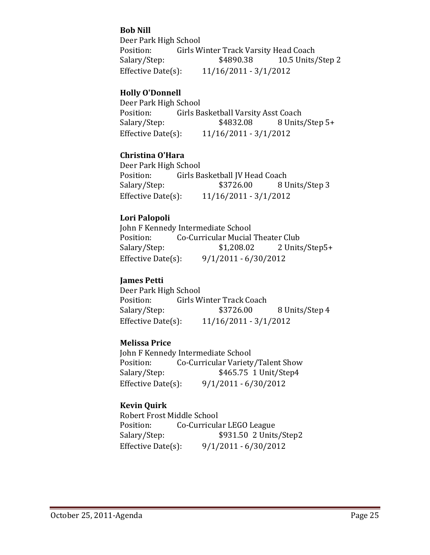### **Bob Nill**

Deer Park High School Position: Girls Winter Track Varsity Head Coach Salary/Step:  $$4890.38$  10.5 Units/Step 2 Effective Date(s):  $11/16/2011 - 3/1/2012$ 

### **Holly O'Donnell**

Deer Park High School Position: Girls Basketball Varsity Asst Coach Salary/Step:  $$4832.08$  8 Units/Step 5+ Effective Date(s):  $11/16/2011 - 3/1/2012$ 

### **Christina O'Hara**

Deer Park High School Position: Girls Basketball JV Head Coach Salary/Step:  $$3726.00$  8 Units/Step 3 Effective Date(s):  $11/16/2011 - 3/1/2012$ 

### **Lori Palopoli**

John F Kennedy Intermediate School Position: Co-Curricular Mucial Theater Club Salary/Step:  $$1,208.02$  2 Units/Step5+ Effective Date(s):  $9/1/2011 - 6/30/2012$ 

### **James Petti**

Deer Park High School Position: Girls Winter Track Coach Salary/Step:  $$3726.00$  8 Units/Step 4 Effective Date(s):  $11/16/2011 - 3/1/2012$ 

### **Melissa Price**

John F Kennedy Intermediate School Position: Co-Curricular Variety/Talent Show Salary/Step: \$465.75 1 Unit/Step4 Effective Date(s):  $9/1/2011 - 6/30/2012$ 

### **Kevin Quirk**

Robert Frost Middle School Position: Co-Curricular LEGO League Salary/Step: \$931.50 2 Units/Step2 Effective Date(s):  $9/1/2011 - 6/30/2012$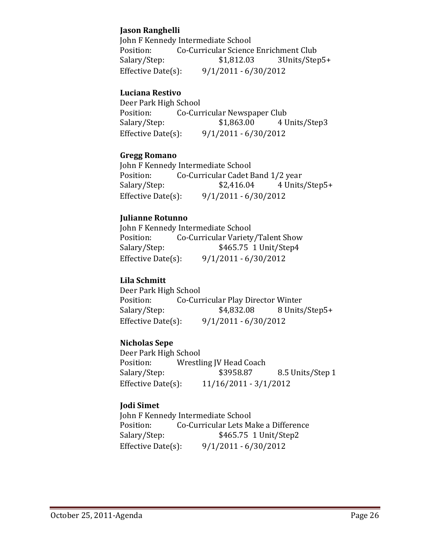### **Jason Ranghelli**

John F Kennedy Intermediate School Position: Co-Curricular Science Enrichment Club Salary/Step:  $$1,812.03$  3Units/Step5+ Effective Date(s):  $9/1/2011 - 6/30/2012$ 

### **Luciana Restivo**

Deer Park High School Position: Co-Curricular Newspaper Club Salary/Step: \$1,863.00 4 Units/Step3 Effective Date(s):  $9/1/2011 - 6/30/2012$ 

### **Gregg Romano**

John F Kennedy Intermediate School Position: Co-Curricular Cadet Band 1/2 year Salary/Step:  $$2,416.04$  4 Units/Step5+ Effective Date(s):  $9/1/2011 - 6/30/2012$ 

### **Julianne Rotunno**

John F Kennedy Intermediate School Position: Co-Curricular Variety/Talent Show Salary/Step: \$465.75 1 Unit/Step4 Effective Date(s):  $9/1/2011 - 6/30/2012$ 

### **Lila Schmitt**

Deer Park High School Position: Co-Curricular Play Director Winter Salary/Step:  $$4,832.08$  8 Units/Step5+ Effective Date(s):  $9/1/2011 - 6/30/2012$ 

### **Nicholas Sepe**

Deer Park High School Position: Wrestling IV Head Coach Salary/Step:  $$3958.87$  8.5 Units/Step 1 Effective Date(s):  $11/16/2011 - 3/1/2012$ 

### **Jodi Simet**

John F Kennedy Intermediate School Position: Co-Curricular Lets Make a Difference Salary/Step: \$465.75 1 Unit/Step2 Effective Date(s):  $9/1/2011 - 6/30/2012$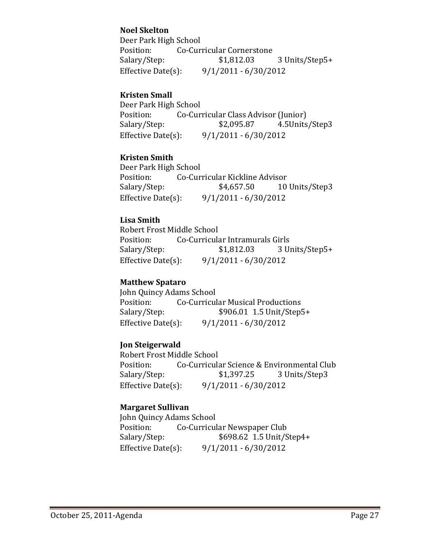### **Noel Skelton**

Deer Park High School Position: Co-Curricular Cornerstone Salary/Step: \$1,812.03 3 Units/Step5+ Effective Date(s):  $9/1/2011 - 6/30/2012$ 

### **Kristen Small**

Deer Park High School Position: Co-Curricular Class Advisor (Junior) Salary/Step: \$2,095.87 4.5Units/Step3 Effective Date(s):  $9/1/2011 - 6/30/2012$ 

### **Kristen Smith**

Deer Park High School Position: Co-Curricular Kickline Advisor Salary/Step:  $$4,657.50$  10 Units/Step3 Effective Date(s):  $9/1/2011 - 6/30/2012$ 

### **Lisa Smith**

Robert Frost Middle School Position: Co-Curricular Intramurals Girls Salary/Step: \$1,812.03 3 Units/Step5+ Effective Date(s):  $9/1/2011 - 6/30/2012$ 

### **Matthew Spataro**

John Quincy Adams School Position: Co-Curricular Musical Productions Salary/Step:  $$906.01$  1.5 Unit/Step5+ Effective Date(s):  $9/1/2011 - 6/30/2012$ 

### **Jon Steigerwald**

Robert Frost Middle School Position: Co-Curricular Science & Environmental Club Salary/Step:  $$1,397.25$  3 Units/Step3 Effective Date(s):  $9/1/2011 - 6/30/2012$ 

### **Margaret Sullivan**

 John Quincy Adams School Position: Co-Curricular Newspaper Club Salary/Step: \$698.62 1.5 Unit/Step4+ Effective Date(s):  $9/1/2011 - 6/30/2012$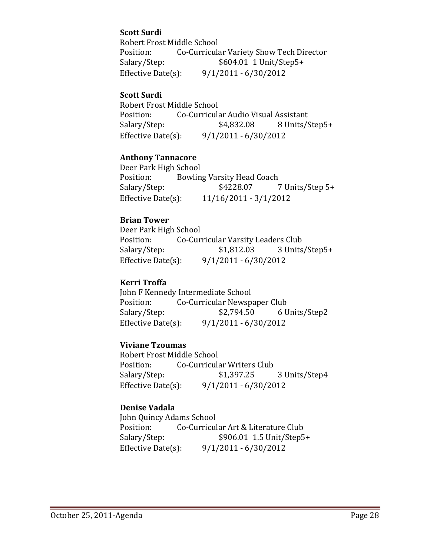### **Scott Surdi**

Robert Frost Middle School Position: Co-Curricular Variety Show Tech Director Salary/Step:  $$604.01$  1 Unit/Step5+ Effective Date(s):  $9/1/2011 - 6/30/2012$ 

#### **Scott Surdi**

Robert Frost Middle School Position: Co-Curricular Audio Visual Assistant Salary/Step: \$4,832.08 8 Units/Step5+ Effective Date(s):  $9/1/2011 - 6/30/2012$ 

#### **Anthony Tannacore**

Deer Park High School Position: Bowling Varsity Head Coach Salary/Step:  $$4228.07$  7 Units/Step 5+ Effective Date(s):  $11/16/2011 - 3/1/2012$ 

### **Brian Tower**

Deer Park High School Position: Co-Curricular Varsity Leaders Club Salary/Step: \$1,812.03 3 Units/Step5+ Effective Date(s):  $9/1/2011 - 6/30/2012$ 

### **Kerri Troffa**

John F Kennedy Intermediate School Position: Co-Curricular Newspaper Club Salary/Step:  $$2,794.50$  6 Units/Step2 Effective Date(s):  $9/1/2011 - 6/30/2012$ 

### **Viviane Tzoumas**

Robert Frost Middle School Position: Co-Curricular Writers Club Salary/Step:  $$1,397.25$  3 Units/Step4 Effective Date(s):  $9/1/2011 - 6/30/2012$ 

#### **Denise Vadala**

John Quincy Adams School Position: Co-Curricular Art & Literature Club Salary/Step:  $$906.01$  1.5 Unit/Step5+ Effective Date(s):  $9/1/2011 - 6/30/2012$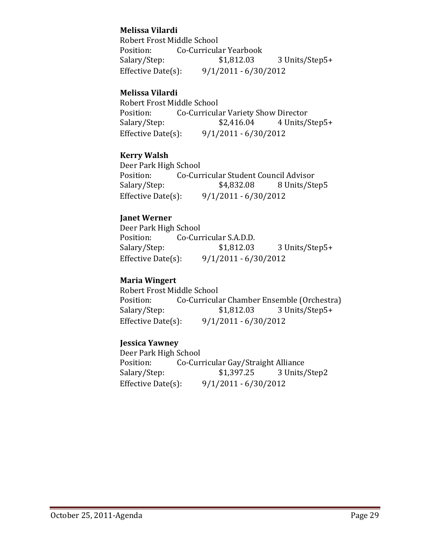### **Melissa Vilardi**

Robert Frost Middle School Position: Co-Curricular Yearbook Salary/Step: \$1,812.03 3 Units/Step5+ Effective Date(s):  $9/1/2011 - 6/30/2012$ 

### **Melissa Vilardi**

Robert Frost Middle School Position: Co-Curricular Variety Show Director Salary/Step:  $$2,416.04$  4 Units/Step5+ Effective Date(s):  $9/1/2011 - 6/30/2012$ 

### **Kerry Walsh**

Deer Park High School Position: Co-Curricular Student Council Advisor Salary/Step:  $$4,832.08$  8 Units/Step5 Effective Date(s):  $9/1/2011 - 6/30/2012$ 

### **Janet Werner**

Deer Park High School Position: Co-Curricular S.A.D.D. Salary/Step: \$1,812.03 3 Units/Step5+ Effective Date(s):  $9/1/2011 - 6/30/2012$ 

### **Maria Wingert**

Robert Frost Middle School Position: Co-Curricular Chamber Ensemble (Orchestra) Salary/Step: \$1,812.03 3 Units/Step5+ Effective Date(s):  $9/1/2011 - 6/30/2012$ 

### **Jessica Yawney**

Deer Park High School Position: Co-Curricular Gay/Straight Alliance Salary/Step: \$1,397.25 3 Units/Step2 Effective Date(s):  $9/1/2011 - 6/30/2012$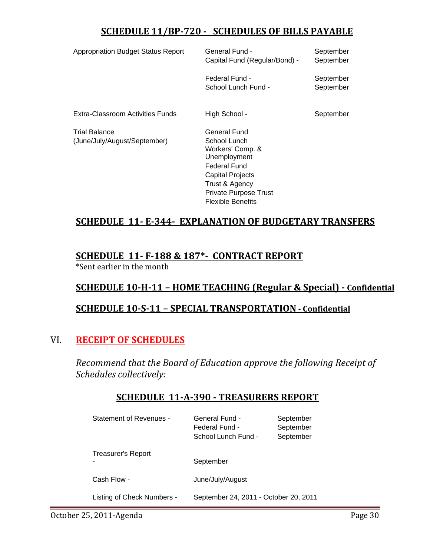# **SCHEDULE 11/BP‐720 ‐ SCHEDULES OF BILLS PAYABLE**

| <b>Appropriation Budget Status Report</b>            | General Fund -<br>Capital Fund (Regular/Bond) -                                                                                                                                           | September<br>September |
|------------------------------------------------------|-------------------------------------------------------------------------------------------------------------------------------------------------------------------------------------------|------------------------|
|                                                      | Federal Fund -<br>School Lunch Fund -                                                                                                                                                     | September<br>September |
| Extra-Classroom Activities Funds                     | High School -                                                                                                                                                                             | September              |
| <b>Trial Balance</b><br>(June/July/August/September) | General Fund<br>School Lunch<br>Workers' Comp. &<br>Unemployment<br><b>Federal Fund</b><br><b>Capital Projects</b><br>Trust & Agency<br>Private Purpose Trust<br><b>Flexible Benefits</b> |                        |

# **SCHEDULE 11‐ E‐344‐ EXPLANATION OF BUDGETARY TRANSFERS**

# **SCHEDULE 11‐ F‐188 & 187\*‐ CONTRACT REPORT**

\*Sent earlier in the month

### **SCHEDULE 10‐H‐11 – HOME TEACHING (Regular & Special) ‐ Confidential**

## **SCHEDULE 10‐S‐11 – SPECIAL TRANSPORTATION ‐ Confidential**

## VI. **RECEIPT OF SCHEDULES**

*Recommend that the Board of Education approve the following Receipt of Schedules collectively:*

|  | <b>SCHEDULE 11-A-390 - TREASURERS REPORT</b> |  |
|--|----------------------------------------------|--|
|  |                                              |  |

| <b>Statement of Revenues -</b> | General Fund -<br>Federal Fund -<br>School Lunch Fund - | September<br>September<br>September |
|--------------------------------|---------------------------------------------------------|-------------------------------------|
| Treasurer's Report             | September                                               |                                     |
| Cash Flow -                    | June/July/August                                        |                                     |
| Listing of Check Numbers -     | September 24, 2011 - October 20, 2011                   |                                     |